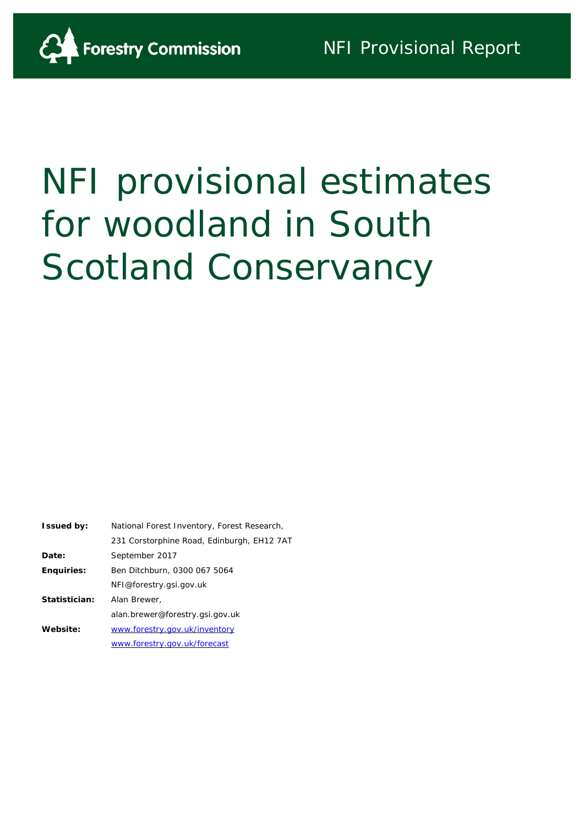

# NFI provisional estimates for woodland in South Scotland Conservancy

| <b>Issued by:</b> | National Forest Inventory, Forest Research, |
|-------------------|---------------------------------------------|
|                   | 231 Corstorphine Road, Edinburgh, EH12 7AT  |
| Date:             | September 2017                              |
| <b>Enquiries:</b> | Ben Ditchburn, 0300 067 5064                |
|                   | NFI@forestry.gsi.gov.uk                     |
| Statistician:     | Alan Brewer,                                |
|                   | alan.brewer@forestry.gsi.gov.uk             |
| Website:          | www.forestry.gov.uk/inventory               |
|                   | www.forestry.gov.uk/forecast                |
|                   |                                             |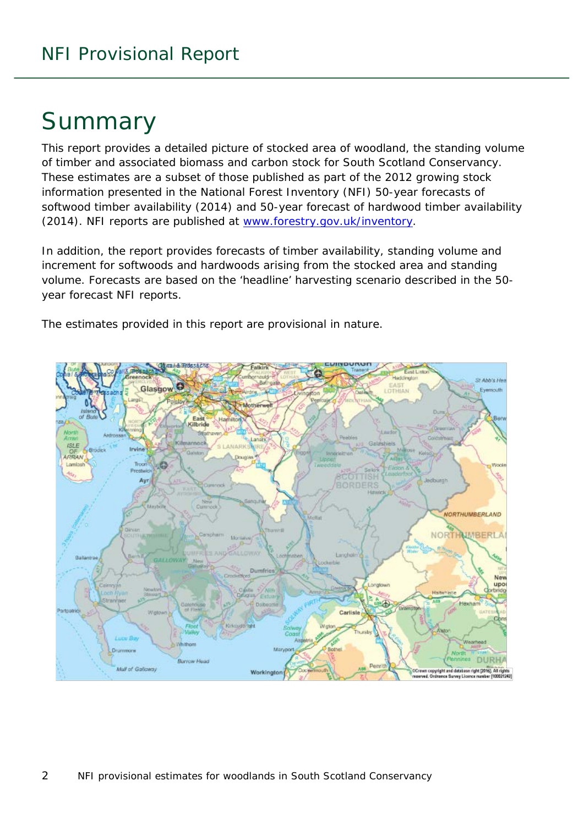# Summary

This report provides a detailed picture of stocked area of woodland, the standing volume of timber and associated biomass and carbon stock for South Scotland Conservancy. These estimates are a subset of those published as part of the 2012 growing stock information presented in the National Forest Inventory (NFI) *50-year forecasts of softwood timber availability* (2014) and *50-year forecast of hardwood timber availability* (2014). NFI reports are published at [www.forestry.gov.uk/inventory.](http://www.forestry.gov.uk/inventory)

In addition, the report provides forecasts of timber availability, standing volume and increment for softwoods and hardwoods arising from the stocked area and standing volume. Forecasts are based on the 'headline' harvesting scenario described in the 50 year forecast NFI reports.

The estimates provided in this report are provisional in nature.

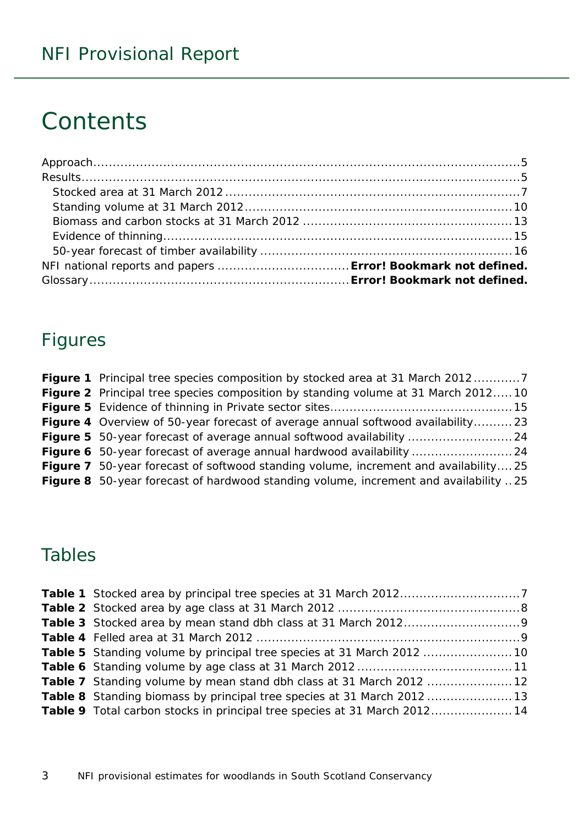# **Contents**

## Figures

| <b>Figure 1</b> Principal tree species composition by stocked area at 31 March 20127      |  |
|-------------------------------------------------------------------------------------------|--|
| <b>Figure 2</b> Principal tree species composition by standing volume at 31 March 2012 10 |  |
|                                                                                           |  |
| <b>Figure 4</b> Overview of 50-year forecast of average annual softwood availability 23   |  |
|                                                                                           |  |
|                                                                                           |  |
| Figure 7 50-year forecast of softwood standing volume, increment and availability25       |  |
| Figure 8 50-year forecast of hardwood standing volume, increment and availability 25      |  |

# Tables

| Table 7 Standing volume by mean stand dbh class at 31 March 2012  12             |  |
|----------------------------------------------------------------------------------|--|
| <b>Table 8</b> Standing biomass by principal tree species at 31 March 2012 13    |  |
| <b>Table 9</b> Total carbon stocks in principal tree species at 31 March 2012 14 |  |
|                                                                                  |  |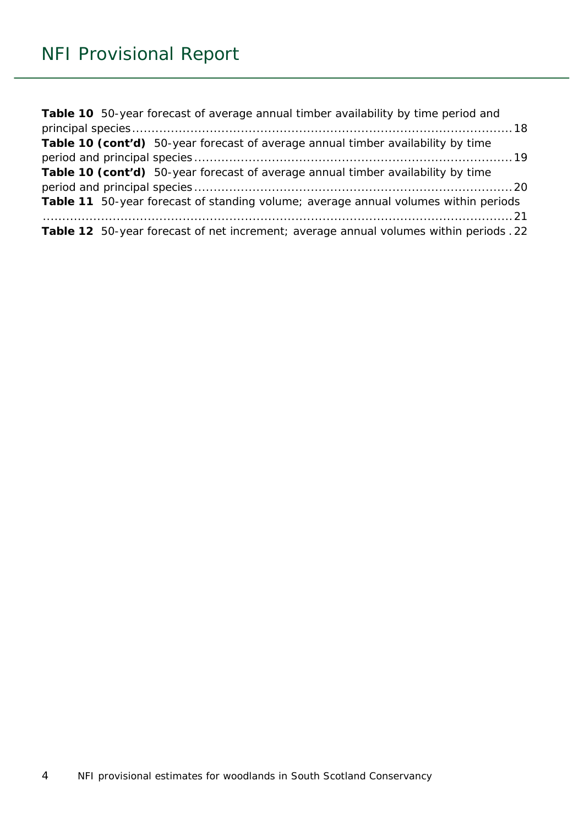| Table 10 50-year forecast of average annual timber availability by time period and     |
|----------------------------------------------------------------------------------------|
|                                                                                        |
| Table 10 (cont'd) 50-year forecast of average annual timber availability by time       |
|                                                                                        |
| Table 10 (cont'd) 50-year forecast of average annual timber availability by time       |
|                                                                                        |
| Table 11 50-year forecast of standing volume; average annual volumes within periods    |
|                                                                                        |
| Table 12 50-year forecast of net increment; average annual volumes within periods . 22 |
|                                                                                        |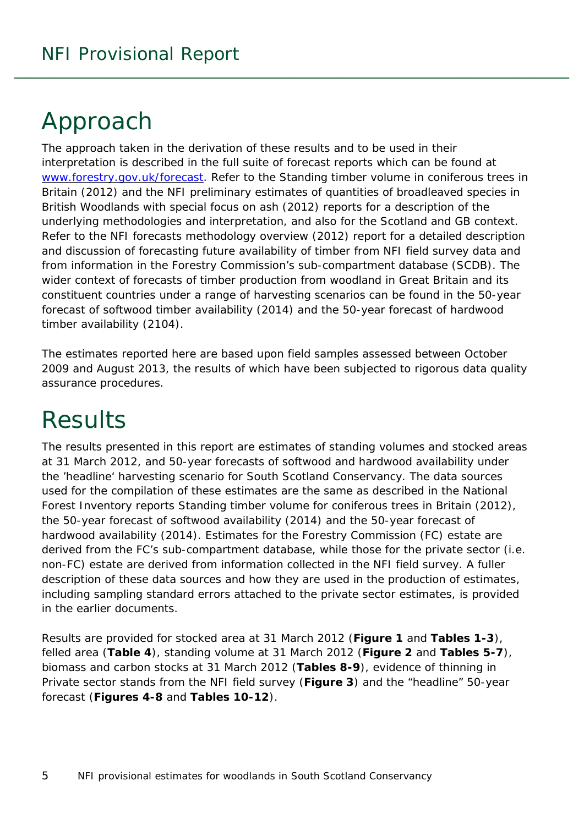# <span id="page-4-0"></span>Approach

The approach taken in the derivation of these results and to be used in their interpretation is described in the full suite of forecast reports which can be found at [www.forestry.gov.uk/forecast.](http://www.forestry.gov.uk/forecast) Refer to the *Standing timber volume in coniferous trees in Britain* (2012) and the *NFI preliminary estimates of quantities of broadleaved species in British Woodlands with special focus on ash* (2012) reports for a description of the underlying methodologies and interpretation, and also for the Scotland and GB context. Refer to the *NFI forecasts methodology overview* (2012) report for a detailed description and discussion of forecasting future availability of timber from NFI field survey data and from information in the Forestry Commission's sub-compartment database (SCDB). The wider context of forecasts of timber production from woodland in Great Britain and its constituent countries under a range of harvesting scenarios can be found in the *50-year forecast of softwood timber availability* (2014) and the *50-year forecast of hardwood timber availability* (2104).

The estimates reported here are based upon field samples assessed between October 2009 and August 2013, the results of which have been subjected to rigorous data quality assurance procedures.

# <span id="page-4-1"></span>**Results**

The results presented in this report are estimates of standing volumes and stocked areas at 31 March 2012, and 50-year forecasts of softwood and hardwood availability under the 'headline' harvesting scenario for South Scotland Conservancy. The data sources used for the compilation of these estimates are the same as described in the National Forest Inventory reports *Standing timber volume for coniferous trees in Britain* (2012), the *50-year forecast of softwood availability* (2014) and the *50-year forecast of hardwood availability* (2014). Estimates for the Forestry Commission (FC) estate are derived from the FC's sub-compartment database, while those for the private sector (i.e. non-FC) estate are derived from information collected in the NFI field survey. A fuller description of these data sources and how they are used in the production of estimates, including sampling standard errors attached to the private sector estimates, is provided in the earlier documents.

Results are provided for stocked area at 31 March 2012 (**Figure 1** and **Tables 1-3**), felled area (**Table 4**), standing volume at 31 March 2012 (**Figure 2** and **Tables 5-7**), biomass and carbon stocks at 31 March 2012 (**Tables 8-9**), evidence of thinning in Private sector stands from the NFI field survey (**Figure 3**) and the "headline" 50-year forecast (**Figures 4-8** and **Tables 10-12**).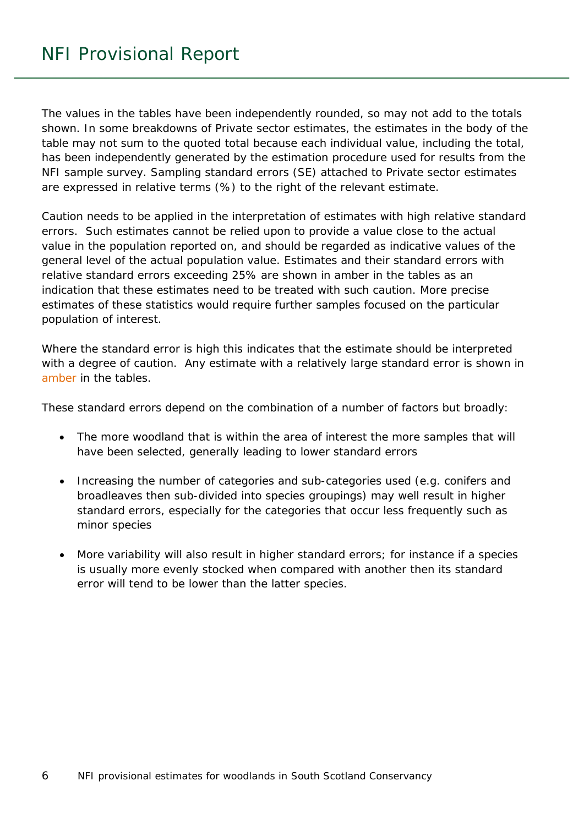The values in the tables have been independently rounded, so may not add to the totals shown. In some breakdowns of Private sector estimates, the estimates in the body of the table may not sum to the quoted total because each individual value, including the total, has been independently generated by the estimation procedure used for results from the NFI sample survey. Sampling standard errors (SE) attached to Private sector estimates are expressed in relative terms (%) to the right of the relevant estimate.

Caution needs to be applied in the interpretation of estimates with high relative standard errors. Such estimates cannot be relied upon to provide a value close to the actual value in the population reported on, and should be regarded as indicative values of the general level of the actual population value. Estimates and their standard errors with relative standard errors exceeding 25% are shown in amber in the tables as an indication that these estimates need to be treated with such caution. More precise estimates of these statistics would require further samples focused on the particular population of interest.

Where the standard error is high this indicates that the estimate should be interpreted with a degree of caution. Any estimate with a relatively large standard error is shown in amber in the tables.

These standard errors depend on the combination of a number of factors but broadly:

- The more woodland that is within the area of interest the more samples that will have been selected, generally leading to lower standard errors
- Increasing the number of categories and sub-categories used (e.g. conifers and broadleaves then sub-divided into species groupings) may well result in higher standard errors, especially for the categories that occur less frequently such as minor species
- More variability will also result in higher standard errors; for instance if a species is usually more evenly stocked when compared with another then its standard error will tend to be lower than the latter species.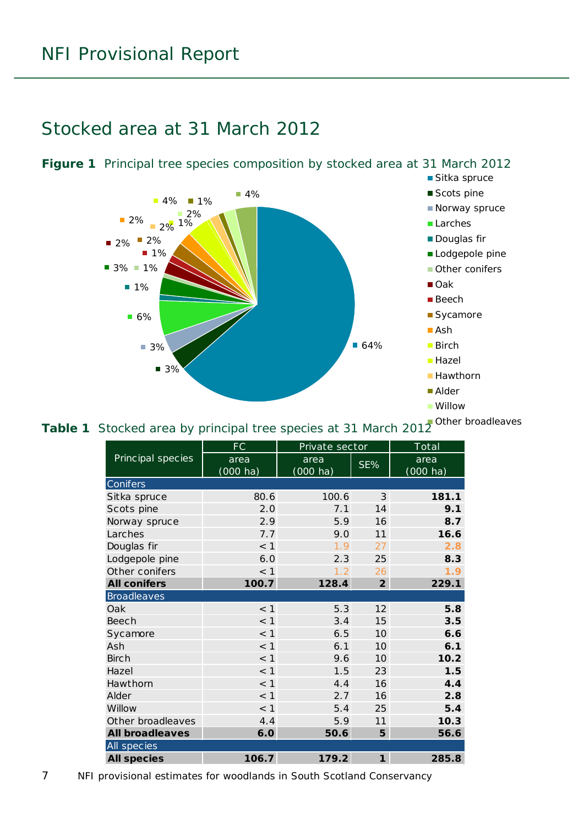### <span id="page-6-0"></span>Stocked area at 31 March 2012



#### <span id="page-6-1"></span>**Figure 1** Principal tree species composition by stocked area at 31 March 2012

#### <span id="page-6-2"></span>**Table 1** Stocked area by principal tree species at 31 March 2012 Other broadleaves

|                        | FC                 | Private sector     |                | $\overline{\text{Total}}$ |
|------------------------|--------------------|--------------------|----------------|---------------------------|
| Principal species      | area               | area               | SE%            | area                      |
|                        | $(000 \text{ ha})$ | $(000 \text{ ha})$ |                | $(000 \text{ ha})$        |
| Conifers               |                    |                    |                |                           |
| Sitka spruce           | 80.6               | 100.6              | 3              | 181.1                     |
| Scots pine             | 2.0                | 7.1                | 14             | 9.1                       |
| Norway spruce          | 2.9                | 5.9                | 16             | 8.7                       |
| Larches                | 7.7                | 9.0                | 11             | 16.6                      |
| Douglas fir            | $<$ 1              | 1.9                | 27             | 2.8                       |
| Lodgepole pine         | 6.0                | 2.3                | 25             | 8.3                       |
| Other conifers         | $<$ 1              | 1.2                | 26             | 1.9                       |
| <b>All conifers</b>    | 100.7              | 128.4              | $\overline{2}$ | 229.1                     |
| <b>Broadleaves</b>     |                    |                    |                |                           |
| Oak                    | $<$ 1              | 5.3                | 12             | 5.8                       |
| Beech                  | $<$ 1              | 3.4                | 15             | 3.5                       |
| Sycamore               | $<$ 1              | 6.5                | 10             | 6.6                       |
| Ash                    | < 1                | 6.1                | 10             | 6.1                       |
| <b>Birch</b>           | < 1                | 9.6                | 10             | 10.2                      |
| Hazel                  | $<$ 1              | 1.5                | 23             | 1.5                       |
| Hawthorn               | < 1                | 4.4                | 16             | 4.4                       |
| Alder                  | $<$ 1              | 2.7                | 16             | 2.8                       |
| Willow                 | < 1                | 5.4                | 25             | 5.4                       |
| Other broadleaves      | 4.4                | 5.9                | 11             | 10.3                      |
| <b>All broadleaves</b> | 6.0                | 50.6               | 5              | 56.6                      |
| All species            |                    |                    |                |                           |
| <b>All species</b>     | 106.7              | 179.2              | $\mathbf{1}$   | 285.8                     |

7 NFI provisional estimates for woodlands in South Scotland Conservancy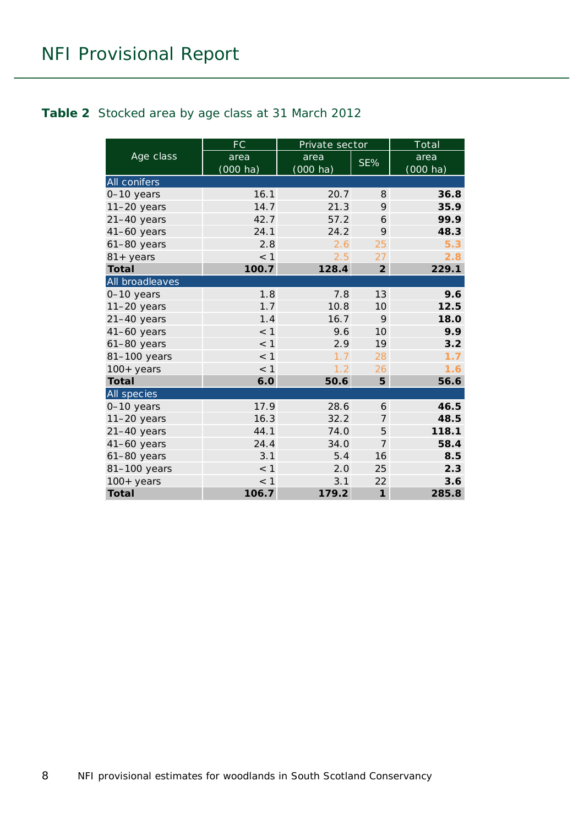#### <span id="page-7-0"></span>**Table 2** Stocked area by age class at 31 March 2012

|                    | FC          | Private sector     |                 | Total              |
|--------------------|-------------|--------------------|-----------------|--------------------|
| Age class          | area        | area               | SE%             | area               |
|                    | $(000)$ ha) | $(000 \text{ ha})$ |                 | $(000 \text{ ha})$ |
| All conifers       |             |                    |                 |                    |
| 0-10 years         | 16.1        | 20.7               | 8               | 36.8               |
| $11-20$ years      | 14.7        | 21.3               | 9               | 35.9               |
| $21-40$ years      | 42.7        | 57.2               | 6               | 99.9               |
| $41-60$ years      | 24.1        | 24.2               | 9               | 48.3               |
| $61-80$ years      | 2.8         | 2.6                | 25              | 5.3                |
| $81 + \gamma$ ears | < 1         | 2.5                | 27              | 2.8                |
| <b>Total</b>       | 100.7       | 128.4              | $\overline{2}$  | 229.1              |
| All broadleaves    |             |                    |                 |                    |
| 0-10 years         | 1.8         | 7.8                | 13              | 9.6                |
| $11-20$ years      | 1.7         | 10.8               | 10              | 12.5               |
| $21-40$ years      | 1.4         | 16.7               | 9               | 18.0               |
| $41-60$ years      | $<$ 1       | 9.6                | 10 <sup>1</sup> | 9.9                |
| $61-80$ years      | $<$ 1       | 2.9                | 19              | 3.2                |
| 81-100 years       | $<$ 1       | 1.7                | 28              | 1.7                |
| $100+$ years       | $<$ 1       | 1.2                | 26              | 1.6                |
| <b>Total</b>       | 6.0         | 50.6               | 5               | 56.6               |
| All species        |             |                    |                 |                    |
| $0-10$ years       | 17.9        | 28.6               | 6               | 46.5               |
| $11-20$ years      | 16.3        | 32.2               | 7               | 48.5               |
| $21-40$ years      | 44.1        | 74.0               | 5               | 118.1              |
| $41-60$ years      | 24.4        | 34.0               | $\overline{7}$  | 58.4               |
| 61-80 years        | 3.1         | 5.4                | 16              | 8.5                |
| 81-100 years       | $<$ 1       | 2.0                | 25              | 2.3                |
| $100+$ years       | < 1         | 3.1                | 22              | 3.6                |
| <b>Total</b>       | 106.7       | 179.2              | $\mathbf{1}$    | 285.8              |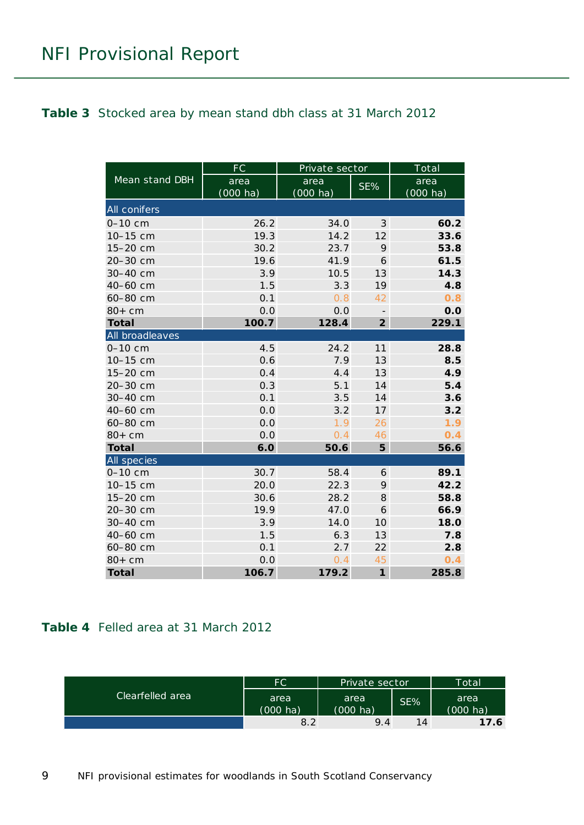#### <span id="page-8-0"></span>**Table 3** Stocked area by mean stand dbh class at 31 March 2012

|                 | FC         | Private sector     |                | Total              |
|-----------------|------------|--------------------|----------------|--------------------|
| Mean stand DBH  | area       | area               | SE%            | area               |
|                 | $(000$ ha) | $(000 \text{ ha})$ |                | $(000 \text{ ha})$ |
| All conifers    |            |                    |                |                    |
| $0 - 10$ cm     | 26.2       | 34.0               | 3              | 60.2               |
| 10-15 cm        | 19.3       | 14.2               | 12             | 33.6               |
| 15-20 cm        | 30.2       | 23.7               | 9              | 53.8               |
| 20-30 cm        | 19.6       | 41.9               | 6              | 61.5               |
| 30-40 cm        | 3.9        | 10.5               | 13             | 14.3               |
| 40-60 cm        | 1.5        | 3.3                | 19             | 4.8                |
| 60-80 cm        | 0.1        | 0.8                | 42             | 0.8                |
| $80+cm$         | 0.0        | 0.0                |                | 0.0                |
| <b>Total</b>    | 100.7      | 128.4              | $\overline{2}$ | 229.1              |
| All broadleaves |            |                    |                |                    |
| $0 - 10$ cm     | 4.5        | 24.2               | 11             | 28.8               |
| 10-15 cm        | 0.6        | 7.9                | 13             | 8.5                |
| 15-20 cm        | 0.4        | 4.4                | 13             | 4.9                |
| 20-30 cm        | 0.3        | 5.1                | 14             | 5.4                |
| 30-40 cm        | 0.1        | 3.5                | 14             | 3.6                |
| 40-60 cm        | 0.0        | 3.2                | 17             | 3.2                |
| 60-80 cm        | 0.0        | 1.9                | 26             | 1.9                |
| $80+cm$         | 0.0        | 0.4                | 46             | 0.4                |
| <b>Total</b>    | 6.0        | 50.6               | 5              | 56.6               |
| All species     |            |                    |                |                    |
| $0 - 10$ cm     | 30.7       | 58.4               | 6              | 89.1               |
| 10-15 cm        | 20.0       | 22.3               | 9              | 42.2               |
| 15-20 cm        | 30.6       | 28.2               | 8              | 58.8               |
| 20-30 cm        | 19.9       | 47.0               | 6              | 66.9               |
| 30-40 cm        | 3.9        | 14.0               | 10             | 18.0               |
| 40-60 cm        | 1.5        | 6.3                | 13             | 7.8                |
| 60-80 cm        | 0.1        | 2.7                | 22             | 2.8                |
| $80+cm$         | 0.0        | 0.4                | 45             | 0.4                |
| <b>Total</b>    | 106.7      | 179.2              | $\mathbf{1}$   | 285.8              |

#### <span id="page-8-1"></span>**Table 4** Felled area at 31 March 2012

| Clearfelled area | FC.                | Private sector     |     | Total              |
|------------------|--------------------|--------------------|-----|--------------------|
|                  | area               | area               | SE% | area               |
|                  | $(000 \text{ ha})$ | $(000 \text{ ha})$ |     | $(000 \text{ ha})$ |
|                  | 8.2                | 9.4                | 14  | 17.6               |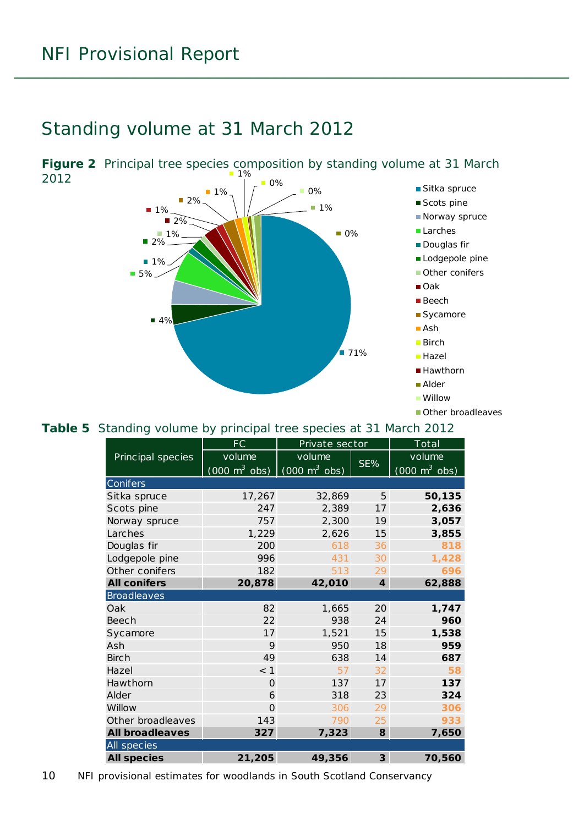### <span id="page-9-0"></span>Standing volume at 31 March 2012

 $\blacksquare$  71%  $4%$ ■ 5%  $1%$  $2%$ ■ 1%  $\blacksquare$  2% ■ 1% ■ 2% ■ 1% 1%  $\blacksquare$  0% ■ 0% 0% ■ 1% ■ Sitka spruce ■ Scots pine ■ Norway spruce ■ Larches **Douglas fir** Lodgepole pine **Other conifers**  $\Box$  Oak ■ Beech **Sycamore** ■ Ash ■ Birch **Hazel** ■ Hawthorn ■ Alder Willow **Other broadleaves** 

#### <span id="page-9-2"></span>**Table 5** Standing volume by principal tree species at 31 March 2012

|                        | FC                              | Private sector                  |                  | Total                           |
|------------------------|---------------------------------|---------------------------------|------------------|---------------------------------|
| Principal species      | volume                          | volume                          |                  | volume                          |
|                        | $(000 \text{ m}^3 \text{ obs})$ | $(000 \text{ m}^3 \text{ obs})$ | SE%              | $(000 \text{ m}^3 \text{ obs})$ |
| Conifers               |                                 |                                 |                  |                                 |
| Sitka spruce           | 17,267                          | 32,869                          | 5                | 50,135                          |
| Scots pine             | 247                             | 2,389                           | 17               | 2,636                           |
| Norway spruce          | 757                             | 2,300                           | 19               | 3,057                           |
| Larches                | 1,229                           | 2,626                           | 15               | 3,855                           |
| Douglas fir            | 200                             | 618                             | 36               | 818                             |
| Lodgepole pine         | 996                             | 431                             | 30               | 1,428                           |
| Other conifers         | 182                             | 513                             | 29               | 696                             |
| <b>All conifers</b>    | 20,878                          | 42,010                          | $\boldsymbol{4}$ | 62,888                          |
| <b>Broadleaves</b>     |                                 |                                 |                  |                                 |
| Oak                    | 82                              | 1,665                           | 20               | 1,747                           |
| Beech                  | 22                              | 938                             | 24               | 960                             |
| Sycamore               | 17                              | 1,521                           | 15               | 1,538                           |
| Ash                    | 9                               | 950                             | 18               | 959                             |
| <b>Birch</b>           | 49                              | 638                             | 14               | 687                             |
| Hazel                  | $<$ 1                           | 57                              | 32               | 58                              |
| Hawthorn               | $\mathbf 0$                     | 137                             | 17               | 137                             |
| Alder                  | 6                               | 318                             | 23               | 324                             |
| Willow                 | $\Omega$                        | 306                             | 29               | 306                             |
| Other broadleaves      | 143                             | 790                             | 25               | 933                             |
| <b>All broadleaves</b> | 327                             | 7,323                           | 8                | 7,650                           |
| All species            |                                 |                                 |                  |                                 |
| <b>All species</b>     | 21,205                          | 49,356                          | $\mathbf{3}$     | 70,560                          |

<span id="page-9-1"></span>

10 NFI provisional estimates for woodlands in South Scotland Conservancy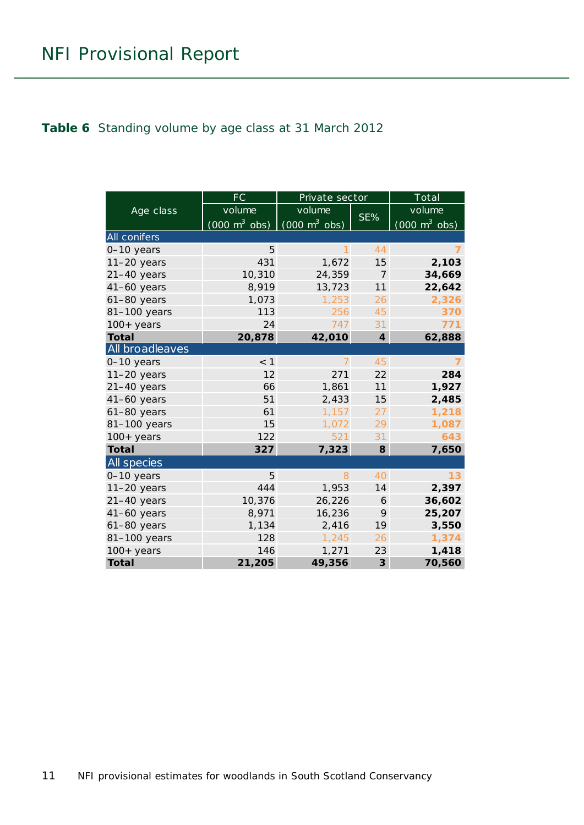#### <span id="page-10-0"></span>**Table 6** Standing volume by age class at 31 March 2012

|                     | <b>FC</b>                       | Private sector                  |                         | Total                               |
|---------------------|---------------------------------|---------------------------------|-------------------------|-------------------------------------|
| Age class           | volume                          | volume                          |                         | volume                              |
|                     | $(000 \text{ m}^3 \text{ obs})$ | $\int$ (000 m <sup>3</sup> obs) | SE%                     | $(000 \; \text{m}^3 \; \text{obs})$ |
| <b>All conifers</b> |                                 |                                 |                         |                                     |
| 0-10 years          | 5                               | $\mathbf{1}$                    | 44                      |                                     |
| $11-20$ years       | 431                             | 1,672                           | 15                      | 2,103                               |
| $21-40$ years       | 10,310                          | 24,359                          | $\overline{7}$          | 34,669                              |
| $41-60$ years       | 8,919                           | 13,723                          | 11                      | 22,642                              |
| $61-80$ years       | 1,073                           | 1,253                           | 26                      | 2,326                               |
| 81-100 years        | 113                             | 256                             | 45                      | 370                                 |
| $100+$ years        | 24                              | 747                             | 31                      | 771                                 |
| <b>Total</b>        | 20,878                          | 42,010                          | $\overline{\mathbf{4}}$ | 62,888                              |
| All broadleaves     |                                 |                                 |                         |                                     |
| 0-10 years          | $<$ 1                           | $\overline{7}$                  | 45                      | $\overline{7}$                      |
| $11-20$ years       | 12                              | 271                             | 22                      | 284                                 |
| $21-40$ years       | 66                              | 1,861                           | 11                      | 1,927                               |
| $41-60$ years       | 51                              | 2,433                           | 15                      | 2,485                               |
| $61-80$ years       | 61                              | 1,157                           | 27                      | 1,218                               |
| 81-100 years        | 15                              | 1,072                           | 29                      | 1,087                               |
| $100+$ years        | 122                             | 521                             | 31                      | 643                                 |
| <b>Total</b>        | 327                             | 7,323                           | 8                       | 7,650                               |
| <b>All</b> species  |                                 |                                 |                         |                                     |
| 0-10 years          | 5                               | 8                               | 40                      | 13                                  |
| $11-20$ years       | 444                             | 1,953                           | 14                      | 2,397                               |
| $21-40$ years       | 10,376                          | 26,226                          | 6                       | 36,602                              |
| $41-60$ years       | 8,971                           | 16,236                          | 9                       | 25,207                              |
| 61-80 years         | 1,134                           | 2,416                           | 19                      | 3,550                               |
| 81-100 years        | 128                             | 1,245                           | 26                      | 1,374                               |
| $100+years$         | 146                             | 1,271                           | 23                      | 1,418                               |
| <b>Total</b>        | 21,205                          | 49,356                          | $\mathbf{3}$            | 70,560                              |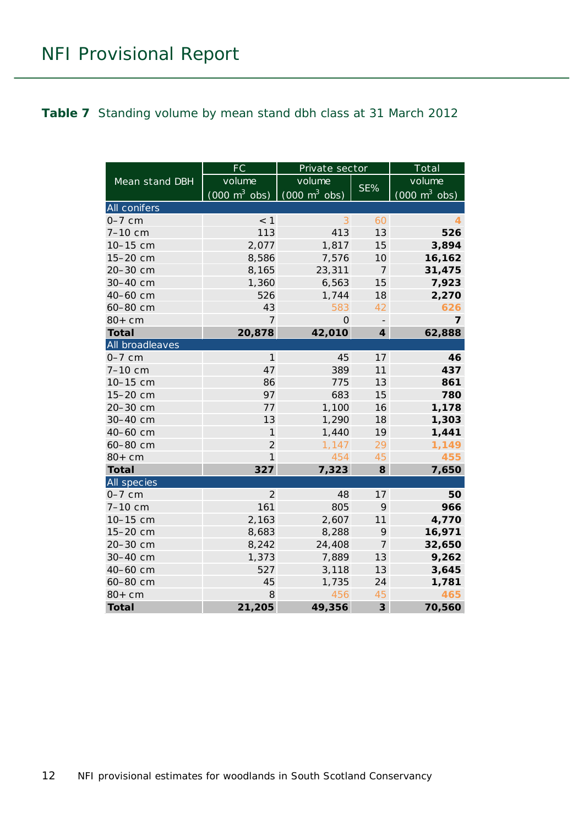#### <span id="page-11-0"></span>**Table 7** Standing volume by mean stand dbh class at 31 March 2012

|                 | FC<br>Private sector            |                                 |                          | Total                               |
|-----------------|---------------------------------|---------------------------------|--------------------------|-------------------------------------|
| Mean stand DBH  | volume                          | volume                          | SE%                      | volume                              |
|                 | $(000 \text{ m}^3 \text{ obs})$ | $(000 \text{ m}^3 \text{ obs})$ |                          | $(000 \; \text{m}^3 \; \text{obs})$ |
| All conifers    |                                 |                                 |                          |                                     |
| $0-7$ cm        | < 1                             | 3                               | 60                       | 4                                   |
| 7-10 cm         | 113                             | 413                             | 13                       | 526                                 |
| 10-15 cm        | 2,077                           | 1,817                           | 15                       | 3,894                               |
| 15-20 cm        | 8,586                           | 7,576                           | 10                       | 16,162                              |
| 20-30 cm        | 8,165                           | 23,311                          | $\overline{7}$           | 31,475                              |
| 30-40 cm        | 1,360                           | 6,563                           | 15                       | 7,923                               |
| 40-60 cm        | 526                             | 1,744                           | 18                       | 2,270                               |
| 60-80 cm        | 43                              | 583                             | 42                       | 626                                 |
| $80+cm$         | $\overline{7}$                  | $\Omega$                        | $\overline{\phantom{a}}$ | $\overline{7}$                      |
| <b>Total</b>    | 20,878                          | 42,010                          | $\overline{\mathbf{4}}$  | 62,888                              |
| All broadleaves |                                 |                                 |                          |                                     |
| $0-7$ cm        | $\mathbf{1}$                    | 45                              | 17                       | 46                                  |
| 7-10 cm         | 47                              | 389                             | 11                       | 437                                 |
| 10-15 cm        | 86                              | 775                             | 13                       | 861                                 |
| 15-20 cm        | 97                              | 683                             | 15                       | 780                                 |
| 20-30 cm        | 77                              | 1,100                           | 16                       | 1,178                               |
| 30-40 cm        | 13                              | 1,290                           | 18                       | 1,303                               |
| 40-60 cm        | 1                               | 1,440                           | 19                       | 1,441                               |
| 60-80 cm        | $\overline{2}$                  | 1,147                           | 29                       | 1,149                               |
| $80+cm$         | 1                               | 454                             | 45                       | 455                                 |
| <b>Total</b>    | 327                             | 7,323                           | 8                        | 7,650                               |
| All species     |                                 |                                 |                          |                                     |
| $0-7$ cm        | $\overline{2}$                  | 48                              | 17                       | 50                                  |
| 7-10 cm         | 161                             | 805                             | 9                        | 966                                 |
| 10-15 cm        | 2,163                           | 2,607                           | 11                       | 4,770                               |
| 15-20 cm        | 8,683                           | 8,288                           | 9                        | 16,971                              |
| 20-30 cm        | 8,242                           | 24,408                          | 7                        | 32,650                              |
| 30-40 cm        | 1,373                           | 7,889                           | 13                       | 9,262                               |
| 40-60 cm        | 527                             | 3,118                           | 13                       | 3,645                               |
| 60-80 cm        | 45                              | 1,735                           | 24                       | 1,781                               |
| $80+cm$         | 8                               | 456                             | 45                       | 465                                 |
| <b>Total</b>    | 21,205                          | 49,356                          | $\overline{\mathbf{3}}$  | 70,560                              |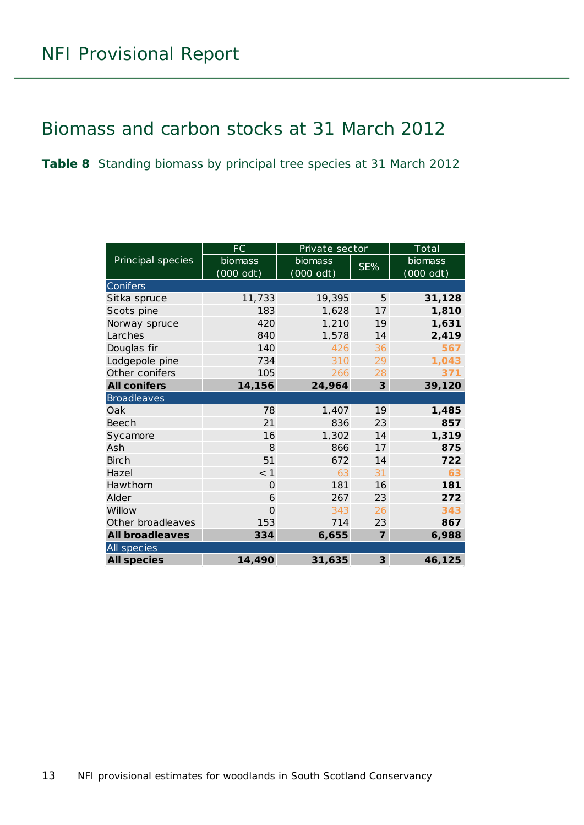# <span id="page-12-0"></span>Biomass and carbon stocks at 31 March 2012

<span id="page-12-1"></span>**Table 8** Standing biomass by principal tree species at 31 March 2012

|                        | FC                  | Private sector | Total          |             |  |  |
|------------------------|---------------------|----------------|----------------|-------------|--|--|
| Principal species      | biomass             | biomass        | SE%            | biomass     |  |  |
|                        | $(000 \text{ odt})$ | $(000$ odt)    |                | $(000$ odt) |  |  |
| <b>Conifers</b>        |                     |                |                |             |  |  |
| Sitka spruce           | 11,733              | 19,395         | 5              | 31,128      |  |  |
| Scots pine             | 183                 | 1,628          | 17             | 1,810       |  |  |
| Norway spruce          | 420                 | 1,210          | 19             | 1,631       |  |  |
| Larches                | 840                 | 1,578          | 14             | 2,419       |  |  |
| Douglas fir            | 140                 | 426            | 36             | 567         |  |  |
| Lodgepole pine         | 734                 | 310            | 29             | 1,043       |  |  |
| Other conifers         | 105                 | 266            | 28             | 371         |  |  |
| <b>All conifers</b>    | 14,156              | 24,964         | 3              | 39,120      |  |  |
| <b>Broadleaves</b>     |                     |                |                |             |  |  |
| Oak                    | 78                  | 1,407          | 19             | 1,485       |  |  |
| Beech                  | 21                  | 836            | 23             | 857         |  |  |
| Sycamore               | 16                  | 1,302          | 14             | 1,319       |  |  |
| Ash                    | 8                   | 866            | 17             | 875         |  |  |
| <b>Birch</b>           | 51                  | 672            | 14             | 722         |  |  |
| Hazel                  | $<$ 1               | 63             | 31             | 63          |  |  |
| Hawthorn               | $\Omega$            | 181            | 16             | 181         |  |  |
| Alder                  | 6                   | 267            | 23             | 272         |  |  |
| Willow                 | $\Omega$            | 343            | 26             | 343         |  |  |
| Other broadleaves      | 153                 | 714            | 23             | 867         |  |  |
| <b>All broadleaves</b> | 334                 | 6,655          | $\overline{7}$ | 6,988       |  |  |
| All species            |                     |                |                |             |  |  |
| <b>All species</b>     | 14,490              | 31,635         | $\overline{3}$ | 46,125      |  |  |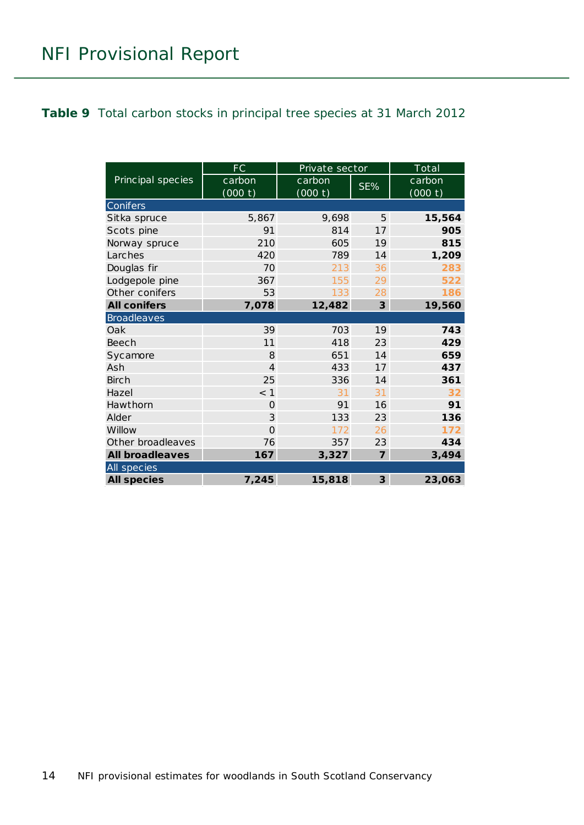#### <span id="page-13-0"></span>**Table 9** Total carbon stocks in principal tree species at 31 March 2012

|                        | FC             | Private sector | Total          |         |  |
|------------------------|----------------|----------------|----------------|---------|--|
| Principal species      | carbon         | carbon         | SE%            | carbon  |  |
|                        | (000 t)        | (000 t)        |                | (000 t) |  |
| Conifers               |                |                |                |         |  |
| Sitka spruce           | 5,867          | 9,698          | 5              | 15,564  |  |
| Scots pine             | 91             | 814            | 17             | 905     |  |
| Norway spruce          | 210            | 605            | 19             | 815     |  |
| Larches                | 420            | 789            | 14             | 1,209   |  |
| Douglas fir            | 70             | 213            | 36             | 283     |  |
| Lodgepole pine         | 367            | 155            | 29             | 522     |  |
| Other conifers         | 53             | 133            | 28             | 186     |  |
| <b>All conifers</b>    | 7,078          | 12,482         | 3              | 19,560  |  |
| <b>Broadleaves</b>     |                |                |                |         |  |
| Oak                    | 39             | 703            | 19             | 743     |  |
| Beech                  | 11             | 418            | 23             | 429     |  |
| Sycamore               | 8              | 651            | 14             | 659     |  |
| Ash                    | $\overline{4}$ | 433            | 17             | 437     |  |
| <b>Birch</b>           | 25             | 336            | 14             | 361     |  |
| Hazel                  | < 1            | 31             | 31             | 32      |  |
| Hawthorn               | $\Omega$       | 91             | 16             | 91      |  |
| Alder                  | 3              | 133            | 23             | 136     |  |
| Willow                 | $\Omega$       | 172            | 26             | 172     |  |
| Other broadleaves      | 76             | 357            | 23             | 434     |  |
| <b>All broadleaves</b> | 167            | 3,327          | $\overline{7}$ | 3,494   |  |
| All species            |                |                |                |         |  |
| <b>All species</b>     | 7,245          | 15,818         | 3              | 23,063  |  |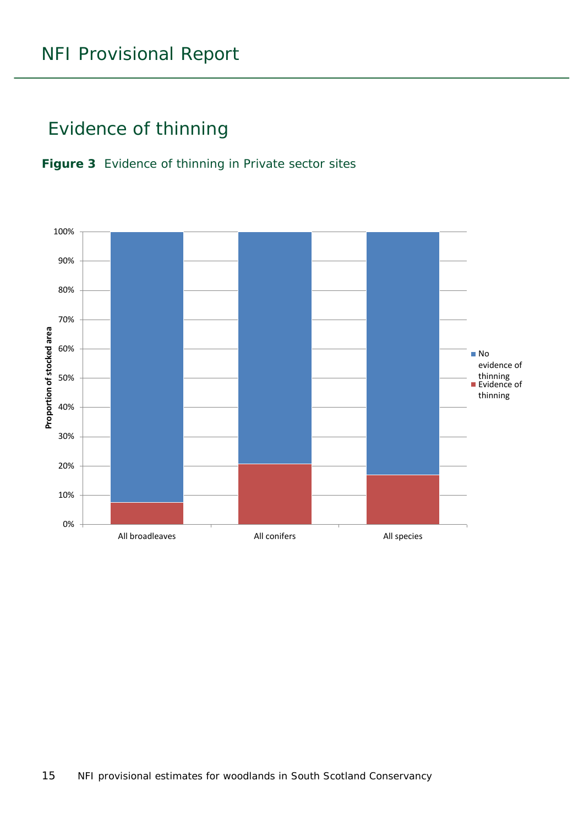# <span id="page-14-0"></span>Evidence of thinning

<span id="page-14-1"></span>

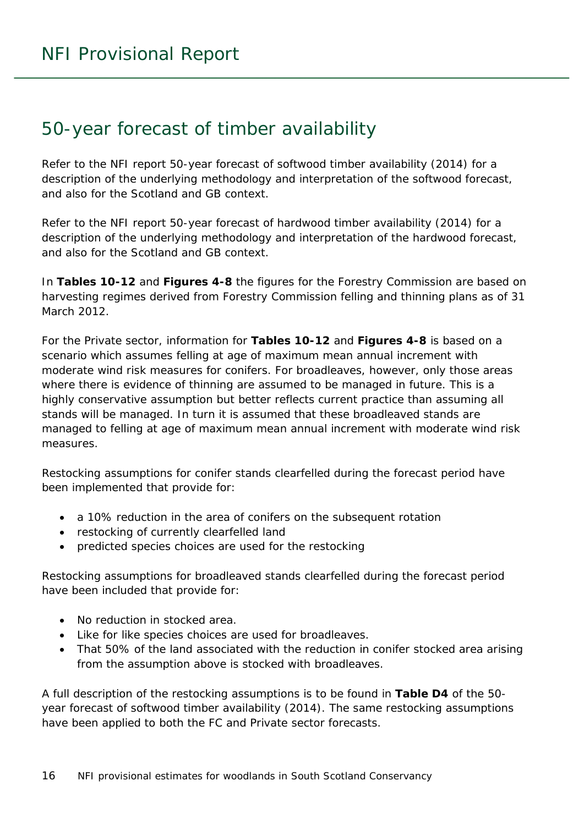### <span id="page-15-0"></span>50-year forecast of timber availability

Refer to the NFI report *50-year forecast of softwood timber availability* (2014) for a description of the underlying methodology and interpretation of the softwood forecast, and also for the Scotland and GB context.

Refer to the NFI report *50-year forecast of hardwood timber availability* (2014) for a description of the underlying methodology and interpretation of the hardwood forecast, and also for the Scotland and GB context.

In **Tables 10-12** and **Figures 4-8** the figures for the Forestry Commission are based on harvesting regimes derived from Forestry Commission felling and thinning plans as of 31 March 2012.

For the Private sector, information for **Tables 10-12** and **Figures 4-8** is based on a scenario which assumes felling at age of maximum mean annual increment with moderate wind risk measures for conifers. For broadleaves, however, only those areas where there is evidence of thinning are assumed to be managed in future. This is a highly conservative assumption but better reflects current practice than assuming all stands will be managed. In turn it is assumed that these broadleaved stands are managed to felling at age of maximum mean annual increment with moderate wind risk measures.

Restocking assumptions for conifer stands clearfelled during the forecast period have been implemented that provide for:

- a 10% reduction in the area of conifers on the subsequent rotation
- restocking of currently clearfelled land
- predicted species choices are used for the restocking

Restocking assumptions for broadleaved stands clearfelled during the forecast period have been included that provide for:

- No reduction in stocked area.
- Like for like species choices are used for broadleaves.
- That 50% of the land associated with the reduction in conifer stocked area arising from the assumption above is stocked with broadleaves.

A full description of the restocking assumptions is to be found in **Table D4** of the *50 year forecast of softwood timber availability* (2014). The same restocking assumptions have been applied to both the FC and Private sector forecasts.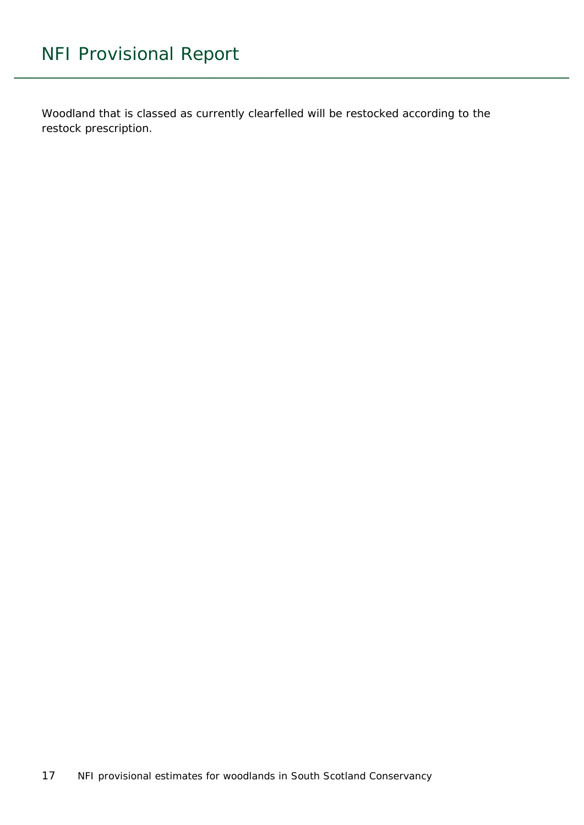Woodland that is classed as currently clearfelled will be restocked according to the restock prescription.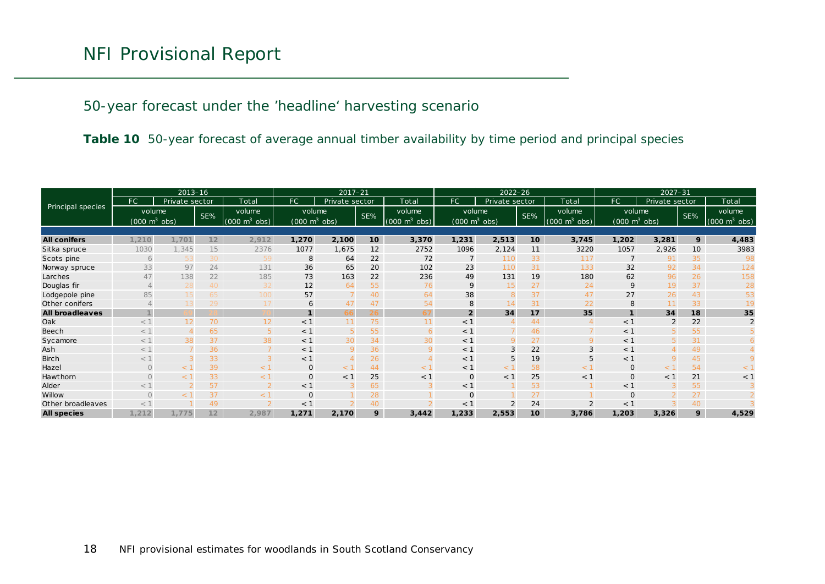#### 50-year forecast under the 'headline' harvesting scenario

**Table 10** 50-year forecast of average annual timber availability by time period and principal species

<span id="page-17-0"></span>

|                        | $2013 - 16$                     |                |     |                                 | $2017 - 21$                     |                |     | $2022 - 26$                         |                                 |                |     | $2027 - 31$                 |                                 |                |     |                                 |
|------------------------|---------------------------------|----------------|-----|---------------------------------|---------------------------------|----------------|-----|-------------------------------------|---------------------------------|----------------|-----|-----------------------------|---------------------------------|----------------|-----|---------------------------------|
|                        | FC                              | Private sector |     | Total                           | FC                              | Private sector |     | Total                               | FC.                             | Private sector |     | Total                       | FC.                             | Private sector |     | Total                           |
| Principal species      | volume                          |                | SE% | volume                          | volume                          |                | SE% | volume                              | volume                          |                | SE% | volume                      | volume                          |                | SE% | volume                          |
|                        | $(000 \text{ m}^3 \text{ obs})$ |                |     | $(000 \text{ m}^3 \text{ obs})$ | $(000 \text{ m}^3 \text{ obs})$ |                |     | $(000 \; \text{m}^3 \; \text{obs})$ | $(000 \text{ m}^3 \text{ obs})$ |                |     | $(000 \text{ m}^3)$<br>obs) | $(000 \text{ m}^3 \text{ obs})$ |                |     | $(000 \text{ m}^3 \text{ obs})$ |
|                        |                                 |                |     |                                 |                                 |                |     |                                     |                                 |                |     |                             |                                 |                |     |                                 |
| <b>All conifers</b>    | 1,210                           | 1,701          | 12  | 2,912                           | 1,270                           | 2,100          | 10  | 3,370                               | 1,231                           | 2,513          | 10  | 3,745                       | 1,202                           | 3,281          | 9   | 4,483                           |
| Sitka spruce           | 1030                            | 1,345          | 15  | 2376                            | 1077                            | 1,675          | 12  | 2752                                | 1096                            | 2,124          | 11  | 3220                        | 1057                            | 2,926          | 10  | 3983                            |
| Scots pine             | 6                               | 53             | 30  | 59                              | 8                               | 64             | 22  | 72                                  |                                 | 110            | 33  | 117                         |                                 | 91             | 35  | -98                             |
| Norway spruce          | 33                              | 97             | 24  | 131                             | 36                              | 65             | 20  | 102                                 | 23                              | 110            | 31  | 133                         | 32                              | 92             | 34  | 124                             |
| Larches                | 47                              | 138            | 22  | 185                             | 73                              | 163            | 22  | 236                                 | 49                              | 131            | 19  | 180                         | 62                              | 96             | 26  | 158                             |
| Douglas fir            |                                 | 28             | 40  | 32                              | 12                              | 64             | 55  | 76                                  | 9                               | 15             | 27  | 24                          | $\mathsf{Q}$                    | 19             | 37  | 28                              |
| Lodgepole pine         | 85                              | 15             | 65  | 100                             | 57                              |                | 40  | 64                                  | 38                              | 8              | 37  | 47                          | 27                              | 26             | 43  | 53                              |
| Other conifers         |                                 | 13             | 29  | 17                              | 6                               | 47             | 47  | 54                                  |                                 | 14             | 31  | 22                          |                                 |                | 33  |                                 |
| <b>All broadleaves</b> |                                 |                |     |                                 | $\mathbf{1}$                    |                |     | 67                                  | $\overline{2}$                  | 34             | 17  | 35                          |                                 | 34             | 18  | 35                              |
| Oak                    | $<$ 1                           | 12             | 70  | 12                              | $<$ 1                           |                | 75  | 11                                  | < 1                             |                | 44  |                             | $<$ 1                           |                | 22  | 2                               |
| Beech                  | $<$ 1                           |                | 65  |                                 | $<$ 1                           | 5              | 55  | 6                                   | < 1                             |                | 46  |                             | $<$ 1                           |                | 55  |                                 |
| Sycamore               | $<$ 1                           | 38             | 37  | 38                              | $<$ 1                           | 30             | 34  | 30                                  | < 1                             | $\mathbf Q$    | 27  | 9                           | < 1                             |                | 31  |                                 |
| Ash                    | $<$ 1                           |                | 36  |                                 | $<$ 1                           | 9              | 36  | 9                                   | < 1                             | 3              | 22  | 3                           | < 1                             |                | 49  |                                 |
| <b>Birch</b>           | $<$ 1                           |                | 33  |                                 | $<$ 1                           |                | 26  |                                     | < 1                             | 5              | 19  | 5                           | < 1                             |                | 45  |                                 |
| Hazel                  | $\Omega$                        | $<$ 1          | 39  | < 1                             | $\mathbf{O}$                    | < 1            | 44  | < 1                                 | < 1                             | < 1            | 58  | < 1                         | $\mathbf 0$                     | < 1            | 54  | $\lt$ 1                         |
| Hawthorn               | $\bigcap$                       |                | 33  | $<$ 1                           | $\mathbf 0$                     | < 1            | 25  | $<$ 1                               | $\circ$                         | < 1            | 25  | < 1                         | $\mathbf{O}$                    | $<$ 1          | 21  | $<$ 1                           |
| Alder                  | $<$ 1                           |                | 57  |                                 | $<$ 1                           |                | 65  |                                     | $<$ 1                           |                | 53  |                             | < 1                             |                | 55  |                                 |
| Willow                 | $\Omega$                        |                | 37  | $<$ 1                           | $\mathbf 0$                     |                | 28  |                                     | $\Omega$                        |                | 27  |                             | $\Omega$                        |                | 27  |                                 |
| Other broadleaves      | $<$ 1                           |                | 49  |                                 | $<$ 1                           |                | 40  |                                     | $<$ 1                           | 2              | 24  |                             | $<$ 1                           |                | 40  |                                 |
| <b>All species</b>     | 1,212                           | 1,775          | 12  | 2,987                           | 1,271                           | 2,170          | 9   | 3,442                               | 1,233                           | 2,553          | 10  | 3,786                       | 1,203                           | 3,326          | 9   | 4,529                           |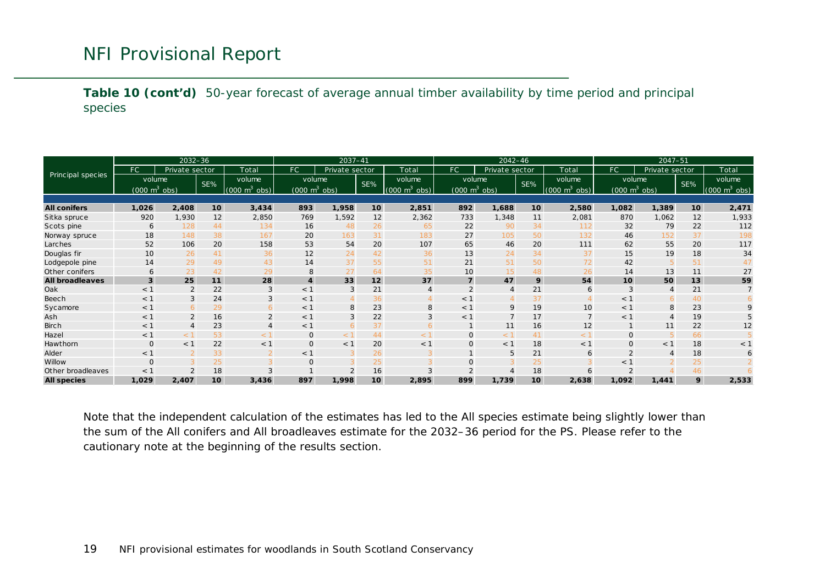**Table 10 (cont'd)** 50-year forecast of average annual timber availability by time period and principal species

|                        |                                           | $2032 - 36$              |     |                                       | 2037-41                                   |                |                 | $2042 - 46$                               |                                           |                |                 | $2047 - 51$                               |                                           |                |                 |                                           |
|------------------------|-------------------------------------------|--------------------------|-----|---------------------------------------|-------------------------------------------|----------------|-----------------|-------------------------------------------|-------------------------------------------|----------------|-----------------|-------------------------------------------|-------------------------------------------|----------------|-----------------|-------------------------------------------|
|                        | FC.                                       | Private sector           |     | Total                                 | FC                                        | Private sector |                 | Total                                     | FC                                        | Private sector |                 | Total                                     | FC.                                       | Private sector |                 | Total                                     |
| Principal species      | volume<br>$(000 \text{ m}^3 \text{ obs})$ |                          | SE% | volume<br>$(000 \text{ m}^3)$<br>obs) | volume<br>$(000 \text{ m}^3 \text{ obs})$ |                | SE%             | volume<br>$(000 \text{ m}^3 \text{ obs})$ | volume<br>$(000 \text{ m}^3 \text{ obs})$ |                | SE%             | volume<br>$(000 \text{ m}^3 \text{ obs})$ | volume<br>$(000 \text{ m}^3 \text{ obs})$ |                | SE%             | volume<br>$(000 \text{ m}^3 \text{ obs})$ |
|                        |                                           |                          |     |                                       |                                           |                |                 |                                           |                                           |                |                 |                                           |                                           |                |                 |                                           |
| <b>All conifers</b>    | 1,026                                     | 2,408                    | 10  | 3,434                                 | 893                                       | 1,958          | 10 <sup>1</sup> | 2,851                                     | 892                                       | 1,688          | 10              | 2,580                                     | 1,082                                     | 1,389          | 10 <sup>1</sup> | 2,471                                     |
| Sitka spruce           | 920                                       | 1,930                    | 12  | 2,850                                 | 769                                       | 1,592          | 12              | 2,362                                     | 733                                       | 1,348          | 11              | 2,081                                     | 870                                       | 1,062          | 12              | 1,933                                     |
| Scots pine             | 6                                         | 128                      | 44  | 134                                   | 16                                        | 48             | 26              | 65                                        | 22                                        | 90             | 34              | 112                                       | 32                                        | 79             | 22              | 112                                       |
| Norway spruce          | 18                                        | 148                      | 38  | 167                                   | 20                                        | 163            | 31              | 183                                       | 27                                        | 105            | 50              | 132                                       | 46                                        | 152            | 37              | 198                                       |
| Larches                | 52                                        | 106                      | 20  | 158                                   | 53                                        | 54             | 20              | 107                                       | 65                                        | 46             | 20              | 111                                       | 62                                        | 55             | 20              | 117                                       |
| Douglas fir            | 10                                        | 26                       | 41  | 36                                    | 12                                        | 24             | 42              | 36                                        | 13                                        | 24             | 34              | 37                                        | 15                                        | 19             | 18              | 34                                        |
| Lodgepole pine         | 14                                        | 29                       | 49  | 43                                    | 14                                        | 37             | 55              | 51                                        | 21                                        | 51             | 50              | 72                                        | 42                                        | 5              | 51              | 47                                        |
| Other conifers         | 6                                         | 23                       | 42  | 29                                    | 8                                         | 27             | 64              | 35                                        | 10                                        | 15             | 48              | 26                                        | 14                                        | 13             | 11              | 27                                        |
| <b>All broadleaves</b> | $\overline{3}$                            | 25                       | 11  | 28                                    | $\overline{\mathbf{4}}$                   | 33             | 12              | 37                                        | $\overline{7}$                            | 47             | 9               | 54                                        | 10                                        | 50             | 13              | 59                                        |
| Oak                    | < 1                                       | $\overline{2}$           | 22  | 3                                     | < 1                                       | 3              | 21              | $\overline{A}$                            | $\overline{2}$                            | $\overline{A}$ | 21              | 6                                         | 3                                         | $\overline{4}$ | 21              |                                           |
| Beech                  | < 1                                       | 3                        | 24  | 3                                     | < 1                                       | $\overline{4}$ | 36              |                                           | $<$ 1                                     |                | 37              |                                           | $<$ 1                                     | 6              | 40              |                                           |
| Sycamore               | < 1                                       | -6                       | 29  | 6                                     | < 1                                       | 8              | 23              | 8                                         | $<$ 1                                     | 9              | 19              | 10                                        | $<$ 1                                     | 8              | 23              | $\mathsf Q$                               |
| Ash                    | < 1                                       | 2                        | 16  | 2                                     | < 1                                       | $\mathbf{3}$   | 22              | 3                                         | $<$ 1                                     | $\overline{7}$ | 17              | $7\overline{ }$                           | $<$ 1                                     | $\overline{4}$ | 19              |                                           |
| Birch                  | < 1                                       |                          | 23  |                                       | < 1                                       | 6              | 37              |                                           |                                           | 11             | 16              | 12                                        |                                           | 11             | 22              | 12                                        |
| Hazel                  | < 1                                       | $<$ 1                    | 53  | < 1                                   | $\mathbf{O}$                              | < 1            | 44              | $<$ 1                                     | 0                                         | < 1            | 41              | < 1                                       | $\mathbf{O}$                              | 5              | 66              |                                           |
| Hawthorn               | $\Omega$                                  | < 1                      | 22  | < 1                                   | $\mathbf 0$                               | < 1            | 20              | < 1                                       | 0                                         | < 1            | 18              | < 1                                       | $\Omega$                                  | < 1            | 18              | $<$ 1                                     |
| Alder                  | < 1                                       |                          | 33  |                                       | < 1                                       | 3              | 26              |                                           |                                           | 5              | 21              | 6                                         | $\overline{2}$                            | $\overline{4}$ | 18              | 6                                         |
| Willow                 | $\Omega$                                  |                          | 25  |                                       | $\overline{0}$                            | 3              | 25              |                                           | $\Omega$                                  |                | 25              |                                           | $<$ 1                                     |                | 25              |                                           |
| Other broadleaves      | $\leq$ 1                                  | $\overline{\mathcal{L}}$ | 18  |                                       |                                           | 2              | 16              | 3                                         |                                           | $\overline{A}$ | 18              | 6                                         |                                           |                | 46              |                                           |
| <b>All species</b>     | 1,029                                     | 2,407                    | 10  | 3,436                                 | 897                                       | 1,998          | 10 <sup>1</sup> | 2,895                                     | 899                                       | 1,739          | 10 <sup>1</sup> | 2,638                                     | 1,092                                     | 1,441          | 9               | 2,533                                     |

<span id="page-18-0"></span>Note that the independent calculation of the estimates has led to the All species estimate being slightly lower than the sum of the All conifers and All broadleaves estimate for the 2032–36 period for the PS. Please refer to the cautionary note at the beginning of the results section.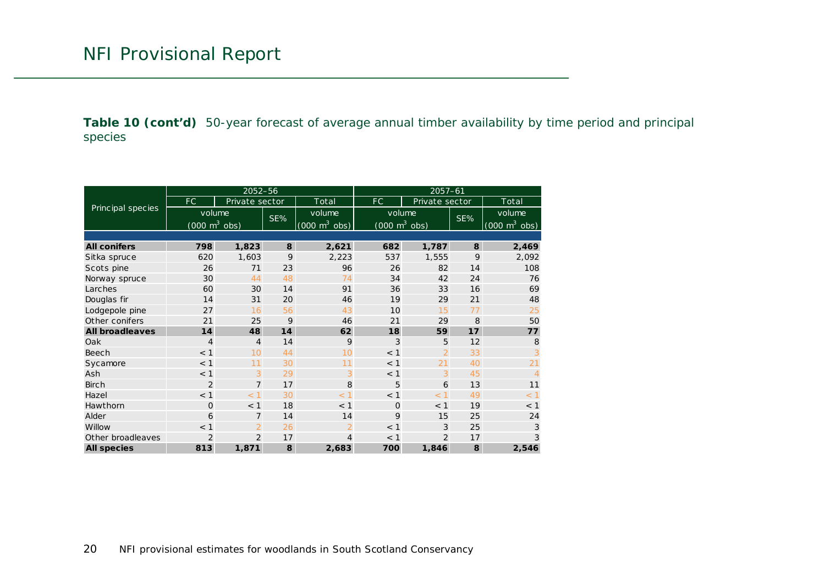**Table 10 (cont'd)** 50-year forecast of average annual timber availability by time period and principal species

<span id="page-19-0"></span>

|                        |                                     | 2052-56        |     |                                 | $2057 - 61$                         |                |     |                                 |  |  |
|------------------------|-------------------------------------|----------------|-----|---------------------------------|-------------------------------------|----------------|-----|---------------------------------|--|--|
|                        | FC                                  | Private sector |     | Total                           | FC.                                 | Private sector |     | Total                           |  |  |
| Principal species      | volume                              |                | SE% | volume                          | volume                              |                | SE% | volume                          |  |  |
|                        | $(000 \; \text{m}^3 \; \text{obs})$ |                |     | $(000 \text{ m}^3 \text{ obs})$ | $(000 \; \text{m}^3 \; \text{obs})$ |                |     | $(000 \text{ m}^3 \text{ obs})$ |  |  |
|                        |                                     |                |     |                                 |                                     |                |     |                                 |  |  |
| <b>All conifers</b>    | 798                                 | 1,823          | 8   | 2,621                           | 682                                 | 1,787          | 8   | 2,469                           |  |  |
| Sitka spruce           | 620                                 | 1,603          | 9   | 2,223                           | 537                                 | 1,555          | 9   | 2,092                           |  |  |
| Scots pine             | 26                                  | 71             | 23  | 96                              | 26                                  | 82             | 14  | 108                             |  |  |
| Norway spruce          | 30                                  | 44             | 48  | 74                              | 34                                  | 42             | 24  | 76                              |  |  |
| Larches                | 60                                  | 30             | 14  | 91                              | 36                                  | 33             | 16  | 69                              |  |  |
| Douglas fir            | 14                                  | 31             | 20  | 46                              | 19                                  | 29             | 21  | 48                              |  |  |
| Lodgepole pine         | 27                                  | 16             | 56  | 43                              | 10                                  | 15             | 77  | 25                              |  |  |
| Other conifers         | 21                                  | 25             | 9   | 46                              | 21                                  | 29             | 8   | 50                              |  |  |
| <b>All broadleaves</b> | 14                                  | 48             | 14  | 62                              | 18                                  | 59             | 17  | 77                              |  |  |
| Oak                    | $\overline{4}$                      | $\overline{4}$ | 14  | 9                               | 3                                   | 5              | 12  | 8                               |  |  |
| Beech                  | < 1                                 | 10             | 44  | 10                              | < 1                                 | $\overline{2}$ | 33  | 3                               |  |  |
| Sycamore               | < 1                                 | 11             | 30  | 11                              | < 1                                 | 21             | 40  | 21                              |  |  |
| Ash                    | < 1                                 | 3              | 29  | 3                               | < 1                                 | 3              | 45  | $\overline{A}$                  |  |  |
| <b>Birch</b>           | $\overline{2}$                      | $\overline{7}$ | 17  | 8                               | 5                                   | 6              | 13  | 11                              |  |  |
| Hazel                  | < 1                                 | < 1            | 30  | < 1                             | < 1                                 | < 1            | 49  | < 1                             |  |  |
| Hawthorn               | $\Omega$                            | < 1            | 18  | < 1                             | $\Omega$                            | < 1            | 19  | $<$ 1                           |  |  |
| Alder                  | 6                                   | $\overline{7}$ | 14  | 14                              | 9                                   | 15             | 25  | 24                              |  |  |
| Willow                 | < 1                                 | $\overline{2}$ | 26  | $\overline{2}$                  | < 1                                 | 3              | 25  | 3                               |  |  |
| Other broadleaves      | $\overline{2}$                      | $\overline{2}$ | 17  | 4                               | $<$ 1                               | $\overline{2}$ | 17  | 3                               |  |  |
| <b>All species</b>     | 813                                 | 1,871          | 8   | 2,683                           | 700                                 | 1,846          | 8   | 2,546                           |  |  |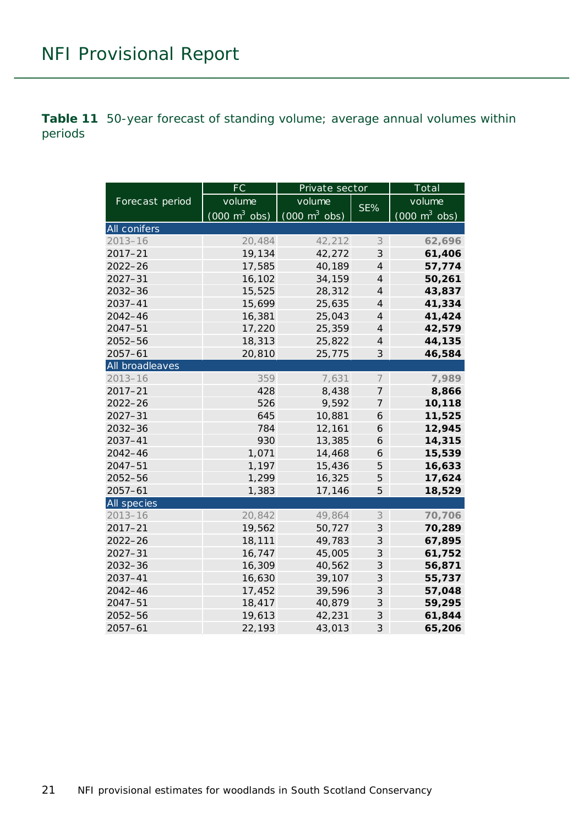<span id="page-20-0"></span>**Table 11** 50-year forecast of standing volume; average annual volumes within periods

|                 | FC                              | Private sector                  | Total                      |                                 |  |
|-----------------|---------------------------------|---------------------------------|----------------------------|---------------------------------|--|
| Forecast period | volume                          | volume                          | SE%                        | volume                          |  |
|                 | $(000 \text{ m}^3 \text{ obs})$ | $(000 \text{ m}^3 \text{ obs})$ |                            | $(000 \text{ m}^3 \text{ obs})$ |  |
| All conifers    |                                 |                                 |                            |                                 |  |
| $2013 - 16$     | 20,484                          | 42,212                          | $\mathcal S$               | 62,696                          |  |
| $2017 - 21$     | 19,134                          | 42,272                          | $\ensuremath{\mathcal{S}}$ | 61,406                          |  |
| $2022 - 26$     | 17,585                          | 40,189                          | $\overline{4}$             | 57,774                          |  |
| $2027 - 31$     | 16,102                          | 34,159                          | $\overline{4}$             | 50,261                          |  |
| 2032-36         | 15,525                          | 28,312                          | $\overline{4}$             | 43,837                          |  |
| 2037-41         | 15,699                          | 25,635                          | $\overline{4}$             | 41,334                          |  |
| $2042 - 46$     | 16,381                          | 25,043                          | $\overline{4}$             | 41,424                          |  |
| $2047 - 51$     | 17,220                          | 25,359                          | $\overline{4}$             | 42,579                          |  |
| 2052-56         | 18,313                          | 25,822                          | $\overline{4}$             | 44,135                          |  |
| $2057 - 61$     | 20,810                          | 25,775                          | 3                          | 46,584                          |  |
| All broadleaves |                                 |                                 |                            |                                 |  |
| $2013 - 16$     | 359                             | 7,631                           | $\overline{ }$             | 7,989                           |  |
| 2017-21         | 428                             | 8,438                           | 7                          | 8,866                           |  |
| $2022 - 26$     | 526                             | 9,592                           | 7                          | 10,118                          |  |
| $2027 - 31$     | 645                             | 10,881                          | 6                          | 11,525                          |  |
| 2032-36         | 784                             | 12,161                          | 6                          | 12,945                          |  |
| 2037-41         | 930                             | 13,385                          | 6                          | 14,315                          |  |
| $2042 - 46$     | 1,071                           | 14,468                          | 6                          | 15,539                          |  |
| 2047-51         | 1,197                           | 15,436                          | 5                          | 16,633                          |  |
| 2052-56         | 1,299                           | 16,325                          | 5                          | 17,624                          |  |
| $2057 - 61$     | 1,383                           | 17,146                          | 5                          | 18,529                          |  |
| All species     |                                 |                                 |                            |                                 |  |
| $2013 - 16$     | 20,842                          | 49,864                          | $\mathcal S$               | 70,706                          |  |
| 2017-21         | 19,562                          | 50,727                          | $\ensuremath{\mathcal{S}}$ | 70,289                          |  |
| 2022-26         | 18,111                          | 49,783                          | $\ensuremath{\mathcal{S}}$ | 67,895                          |  |
| $2027 - 31$     | 16,747                          | 45,005                          | $\ensuremath{\mathcal{S}}$ | 61,752                          |  |
| 2032-36         | 16,309                          | 40,562                          | $\ensuremath{\mathcal{S}}$ | 56,871                          |  |
| 2037-41         | 16,630                          | 39,107                          | $\ensuremath{\mathcal{S}}$ | 55,737                          |  |
| $2042 - 46$     | 17,452                          | 39,596                          | 3                          | 57,048                          |  |
| $2047 - 51$     | 18,417                          | 40,879                          | 3                          | 59,295                          |  |
| 2052-56         | 19,613                          | 42,231                          | 3                          | 61,844                          |  |
| $2057 - 61$     | 22,193                          | 43,013                          | 3                          | 65,206                          |  |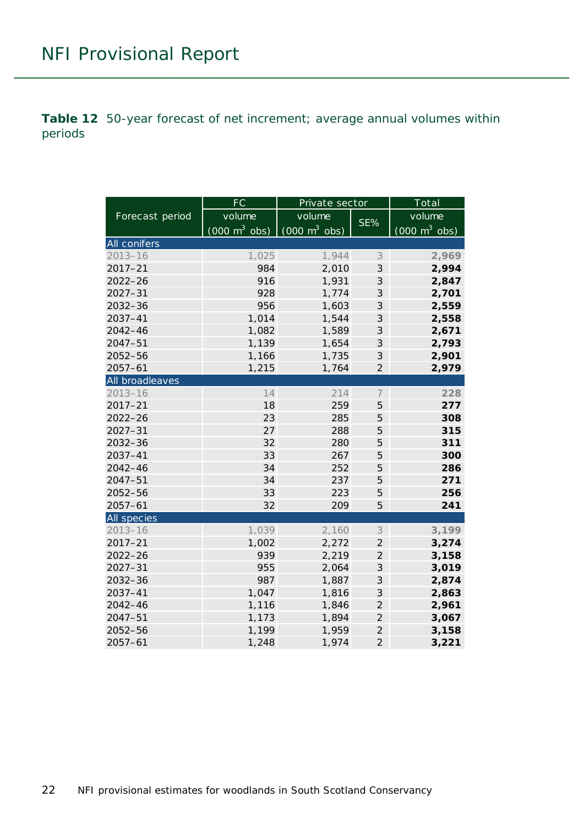<span id="page-21-0"></span>**Table 12** 50-year forecast of net increment; average annual volumes within periods

|                 | FC                              | Private sector                      | Total                       |                                 |  |
|-----------------|---------------------------------|-------------------------------------|-----------------------------|---------------------------------|--|
| Forecast period | volume                          | volume                              |                             | volume                          |  |
|                 | $(000 \text{ m}^3 \text{ obs})$ | $(000 \; \text{m}^3 \; \text{obs})$ | SE%                         | $(000 \text{ m}^3 \text{ obs})$ |  |
| All conifers    |                                 |                                     |                             |                                 |  |
| $2013 - 16$     | 1,025                           | 1,944                               | 3                           | 2,969                           |  |
| $2017 - 21$     | 984                             | 2,010                               | 3                           | 2,994                           |  |
| $2022 - 26$     | 916                             | 1,931                               | 3                           | 2,847                           |  |
| $2027 - 31$     | 928                             | 1,774                               | 3                           | 2,701                           |  |
| $2032 - 36$     | 956                             | 1,603                               | 3                           | 2,559                           |  |
| $2037 - 41$     | 1,014                           | 1,544                               | 3                           | 2,558                           |  |
| 2042-46         | 1,082                           | 1,589                               | 3                           | 2,671                           |  |
| $2047 - 51$     | 1,139                           | 1,654                               | 3                           | 2,793                           |  |
| 2052-56         | 1,166                           | 1,735                               | 3                           | 2,901                           |  |
| $2057 - 61$     | 1,215                           | 1,764                               | $\overline{2}$              | 2,979                           |  |
| All broadleaves |                                 |                                     |                             |                                 |  |
| $2013 - 16$     | 14                              | 214                                 | $\overline{ }$              | 228                             |  |
| $2017 - 21$     | 18                              | 259                                 | 5                           | 277                             |  |
| $2022 - 26$     | 23                              | 285                                 | 5                           | 308                             |  |
| $2027 - 31$     | 27                              | 288                                 | 5                           | 315                             |  |
| 2032-36         | 32                              | 280                                 | 5                           | 311                             |  |
| $2037 - 41$     | 33                              | 267                                 | 5                           | 300                             |  |
| 2042-46         | 34                              | 252                                 | 5                           | 286                             |  |
| $2047 - 51$     | 34                              | 237                                 | 5                           | 271                             |  |
| $2052 - 56$     | 33                              | 223                                 | 5                           | 256                             |  |
| $2057 - 61$     | 32                              | 209                                 | 5                           | 241                             |  |
| All species     |                                 |                                     |                             |                                 |  |
| $2013 - 16$     | 1,039                           | 2,160                               | 3                           | 3,199                           |  |
| $2017 - 21$     | 1,002                           | 2,272                               | $\overline{2}$              | 3,274                           |  |
| $2022 - 26$     | 939                             | 2,219                               | $\overline{2}$              | 3,158                           |  |
| $2027 - 31$     | 955                             | 2,064                               | $\mathcal{S}_{\mathcal{S}}$ | 3,019                           |  |
| $2032 - 36$     | 987                             | 1,887                               | 3                           | 2,874                           |  |
| $2037 - 41$     | 1,047                           | 1,816                               | $\mathcal{S}_{\mathcal{S}}$ | 2,863                           |  |
| $2042 - 46$     | 1,116                           | 1,846                               | $\overline{2}$              | 2,961                           |  |
| $2047 - 51$     | 1,173                           | 1,894                               | $\overline{c}$              | 3,067                           |  |
| 2052-56         | 1,199                           | 1,959                               | $\overline{2}$              | 3,158                           |  |
| $2057 - 61$     | 1,248                           | 1,974                               | $\overline{2}$              | 3,221                           |  |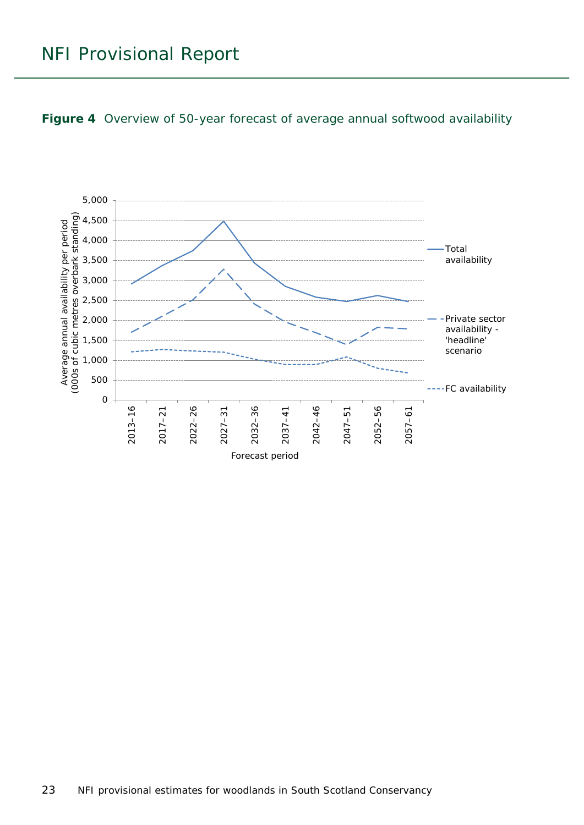<span id="page-22-0"></span>

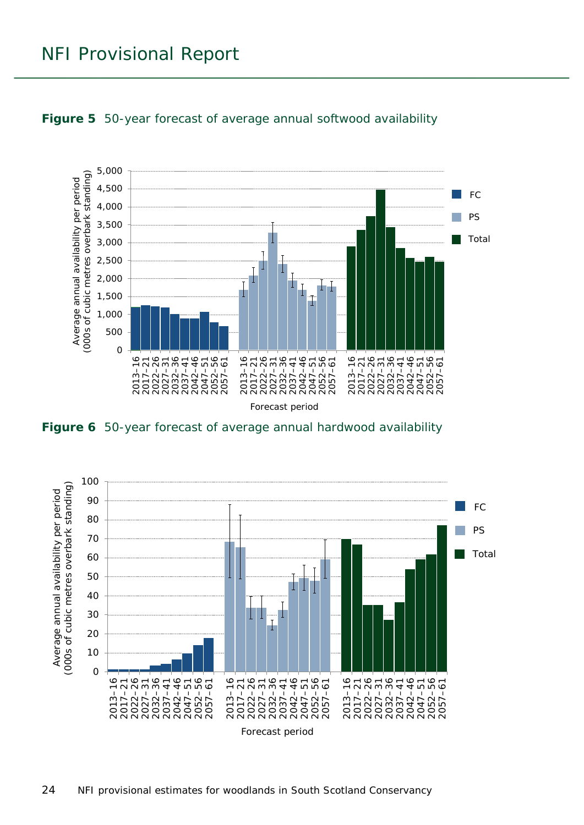

#### <span id="page-23-0"></span>**Figure 5** 50-year forecast of average annual softwood availability

<span id="page-23-1"></span>**Figure 6** 50-year forecast of average annual hardwood availability

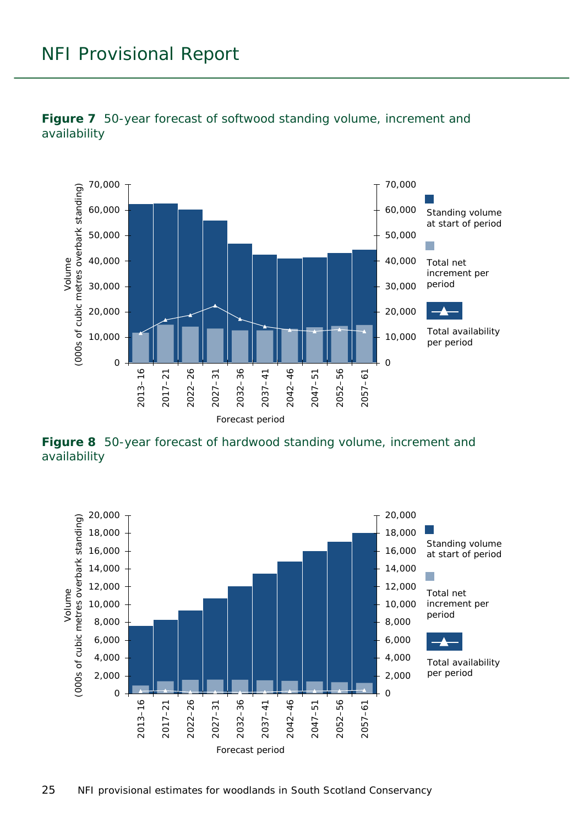

<span id="page-24-0"></span>

<span id="page-24-1"></span>**Figure 8** 50-year forecast of hardwood standing volume, increment and availability